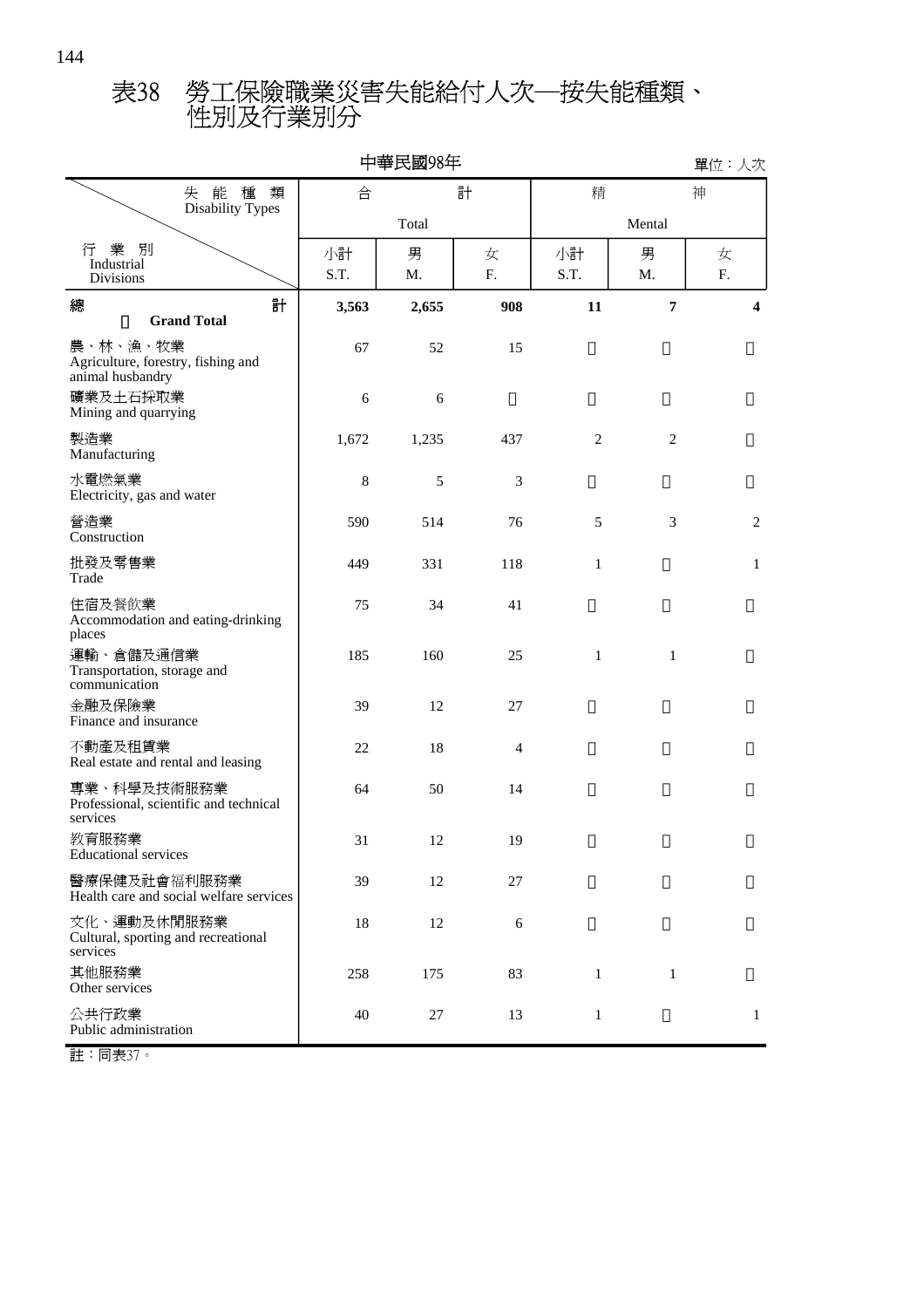## 性別及行業別分 表38 勞工保險職業災害失能給付人次─按失能種類、

| 中華民國98年                                                            |            |         |                |                |                |                 |  |  |  |
|--------------------------------------------------------------------|------------|---------|----------------|----------------|----------------|-----------------|--|--|--|
| 失能種<br>類                                                           | 合          |         | 計              | 精              |                | 神               |  |  |  |
| Disability Types                                                   |            | Total   |                |                |                |                 |  |  |  |
| 業<br>別<br>行<br>Industrial<br><b>Divisions</b>                      | 小計<br>S.T. | 男<br>M. | 女<br>F.        | 小計<br>S.T.     | 男<br>M.        | 女<br>${\bf F}.$ |  |  |  |
| 計<br>總<br><b>Grand Total</b>                                       | 3,563      | 2,655   | 908            | 11             | 7              | 4               |  |  |  |
| 農、林、漁、牧業<br>Agriculture, forestry, fishing and<br>animal husbandry | 67         | 52      | 15             |                |                |                 |  |  |  |
| 礦業及土石採取業<br>Mining and quarrying                                   | 6          | 6       |                |                |                |                 |  |  |  |
| 製造業<br>Manufacturing                                               | 1,672      | 1,235   | 437            | $\mathfrak{2}$ | $\mathfrak{2}$ |                 |  |  |  |
| 水電燃氣業<br>Electricity, gas and water                                | 8          | 5       | 3              |                |                |                 |  |  |  |
| 營造業<br>Construction                                                | 590        | 514     | 76             | 5              | 3              | 2               |  |  |  |
| 批發及零售業<br>Trade                                                    | 449        | 331     | 118            | $\mathbf{1}$   |                | $\mathbf{1}$    |  |  |  |
| 住宿及餐飲業<br>Accommodation and eating-drinking<br>places              | 75         | 34      | 41             |                |                |                 |  |  |  |
| 運輸、倉儲及通信業<br>Transportation, storage and<br>communication          | 185        | 160     | 25             | $\mathbf{1}$   | $\mathbf{1}$   |                 |  |  |  |
| 金融及保險業<br>Finance and insurance                                    | 39         | 12      | 27             |                |                |                 |  |  |  |
| 不動產及租賃業<br>Real estate and rental and leasing                      | 22         | 18      | $\overline{4}$ |                |                |                 |  |  |  |
| 專業、科學及技術服務業<br>Professional, scientific and technical<br>services  | 64         | 50      | 14             |                |                |                 |  |  |  |
| 教育服務業<br><b>Educational services</b>                               | 31         | 12      | 19             |                |                |                 |  |  |  |
| 醫療保健及社會福利服務業<br>Health care and social welfare services            | 39         | 12      | 27             |                |                |                 |  |  |  |
| 文化、運動及休閒服務業<br>Cultural, sporting and recreational<br>services     | 18         | 12      | 6              |                |                |                 |  |  |  |
| 其他服務業<br>Other services                                            | 258        | 175     | 83             | $\mathbf{1}$   | $\mathbf{1}$   |                 |  |  |  |
| 公共行政業<br>Public administration                                     | 40         | 27      | 13             | $\mathbf{1}$   |                | $\mathbf{1}$    |  |  |  |

註:同表37。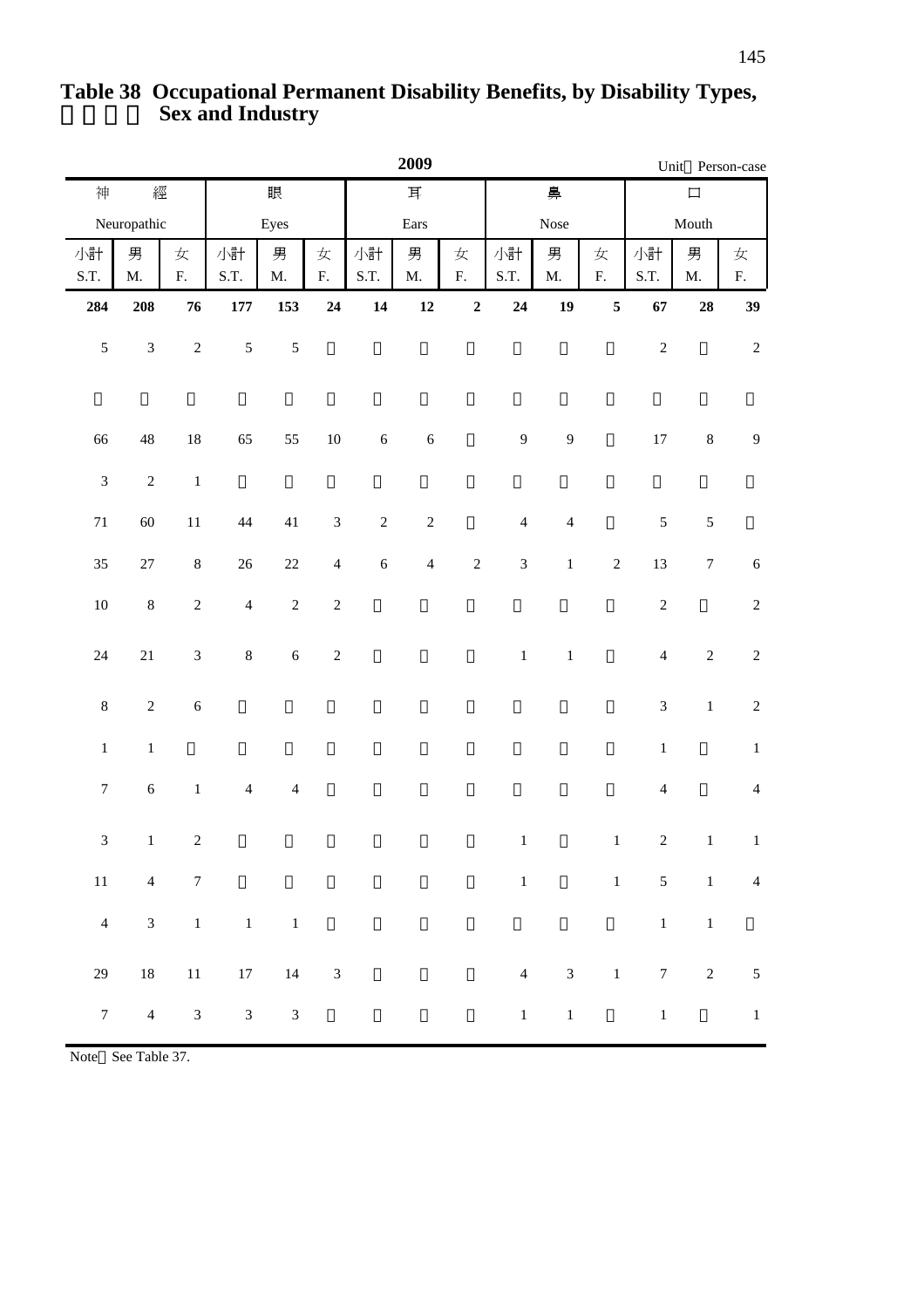|                             |                    |                  |                |                    |                 |              | 2009               |                 |                |                    |            |                           |                    | Unit Person-case |  |
|-----------------------------|--------------------|------------------|----------------|--------------------|-----------------|--------------|--------------------|-----------------|----------------|--------------------|------------|---------------------------|--------------------|------------------|--|
| 神                           | 經                  |                  |                | 眼                  |                 | $\mathbb{H}$ |                    |                 |                | 鼻                  |            | $\Box$                    |                    |                  |  |
|                             | Neuropathic        |                  |                | Eyes               |                 | Ears         |                    |                 | Nose           |                    |            | Mouth                     |                    |                  |  |
| 小計<br>S.T.                  | 男<br>$\mathbf{M}.$ | 女<br>${\bf F}.$  | 小計<br>S.T.     | 男<br>$\mathbf{M}.$ | 女<br>${\bf F}.$ | 小計<br>S.T.   | 男<br>$\mathbf{M}.$ | 女<br>${\bf F}.$ | 小計<br>S.T.     | 男<br>$\mathbf{M}.$ | 女<br>F.    | 小計<br>S.T.                | 男<br>$\mathbf{M}.$ | 女<br>${\bf F}.$  |  |
| 284                         | 208                | ${\bf 76}$       | $177\,$        | 153                | ${\bf 24}$      | 14           | 12                 | $\mathbf 2$     | 24             | 19                 | $\sqrt{5}$ | 67                        | ${\bf 28}$         | 39               |  |
| $\sqrt{5}$                  | $\mathfrak{Z}$     | $\sqrt{2}$       | $\mathfrak s$  | $\mathfrak s$      |                 |              |                    |                 |                |                    |            | $\sqrt{2}$                |                    | $\sqrt{2}$       |  |
| 66                          | $\sqrt{48}$        | $18\,$           | 65             | 55                 | $10\,$          | $\sqrt{6}$   | $\sqrt{6}$         |                 | $\overline{9}$ | 9                  |            | $17\,$                    | $\,8\,$            | $\overline{9}$   |  |
| $\ensuremath{\mathfrak{Z}}$ | $\sqrt{2}$         | $\,1\,$          |                |                    |                 |              |                    |                 |                |                    |            |                           |                    |                  |  |
| $71\,$                      | $60\,$             | $11\,$           | $44$           | $41\,$             | $\mathfrak{Z}$  | $\sqrt{2}$   | $\sqrt{2}$         |                 | $\overline{4}$ | $\overline{4}$     |            | $\sqrt{5}$                | $\mathfrak s$      |                  |  |
| 35                          | $27\,$             | $\bf 8$          | $26\,$         | $22\,$             | $\overline{4}$  | $\sqrt{6}$   | $\overline{4}$     | $\sqrt{2}$      | $\sqrt{3}$     | $\,1\,$            | $\sqrt{2}$ | 13                        | $\boldsymbol{7}$   | $\sqrt{6}$       |  |
| $10\,$                      | $\,8\,$            | $\sqrt{2}$       | $\overline{4}$ | $\sqrt{2}$         | $\sqrt{2}$      |              |                    |                 |                |                    |            | $\sqrt{2}$                |                    | $\sqrt{2}$       |  |
| $24\,$                      | $21\,$             | $\sqrt{3}$       | $\,8\,$        | $\sqrt{6}$         | $\sqrt{2}$      |              |                    |                 | $\,1\,$        | $\,1\,$            |            | $\overline{4}$            | $\sqrt{2}$         | $\sqrt{2}$       |  |
| $\,8\,$                     | $\sqrt{2}$         | $\sqrt{6}$       |                |                    |                 |              |                    |                 |                |                    |            | $\mathfrak 3$             | $\,1$              | $\sqrt{2}$       |  |
| $\,1\,$                     | $\,1\,$            |                  |                |                    |                 |              |                    |                 |                |                    |            | $\,1\,$                   |                    | $\,1$            |  |
| $\boldsymbol{7}$            | $\sqrt{6}$         | $\,1$            | $\overline{4}$ | $\overline{4}$     |                 |              |                    |                 |                |                    |            | $\overline{4}$            |                    | $\overline{4}$   |  |
| $\ensuremath{\mathfrak{Z}}$ | $\,1$              | $\sqrt{2}$       |                |                    |                 |              |                    |                 | $\,1\,$        |                    | $\,1$      | $\sqrt{2}$                | $\,1\,$            | $\,1\,$          |  |
| 11                          | $\overline{4}$     | $\boldsymbol{7}$ |                |                    |                 |              |                    |                 |                | $1$ and $\sim$     |            | $1 \quad 5$               |                    | $1 \qquad 4$     |  |
| $\overline{4}$              | $\mathfrak{Z}$     | $1\,$            |                | $1\qquad \quad 1$  |                 |              |                    |                 |                |                    |            | $\,1$                     | $\,1\,$            |                  |  |
| 29                          | $18\,$             | $11\,$           | $17\,$         | 14                 | $\sqrt{3}$      |              |                    |                 | $\overline{4}$ | $\overline{3}$     |            | $1\,$<br>$\boldsymbol{7}$ | $\overline{2}$     | $\sqrt{5}$       |  |
| $\boldsymbol{7}$            | $\overline{4}$     | $\sqrt{3}$       | $\overline{3}$ | $\mathfrak{Z}$     |                 |              |                    |                 | 1              | $\!-1\!$           |            | $\,1\,$                   |                    | $\,1\,$          |  |

## **Sex and Industry Table 38 Occupational Permanent Disability Benefits, by Disability Types,**

Note See Table 37.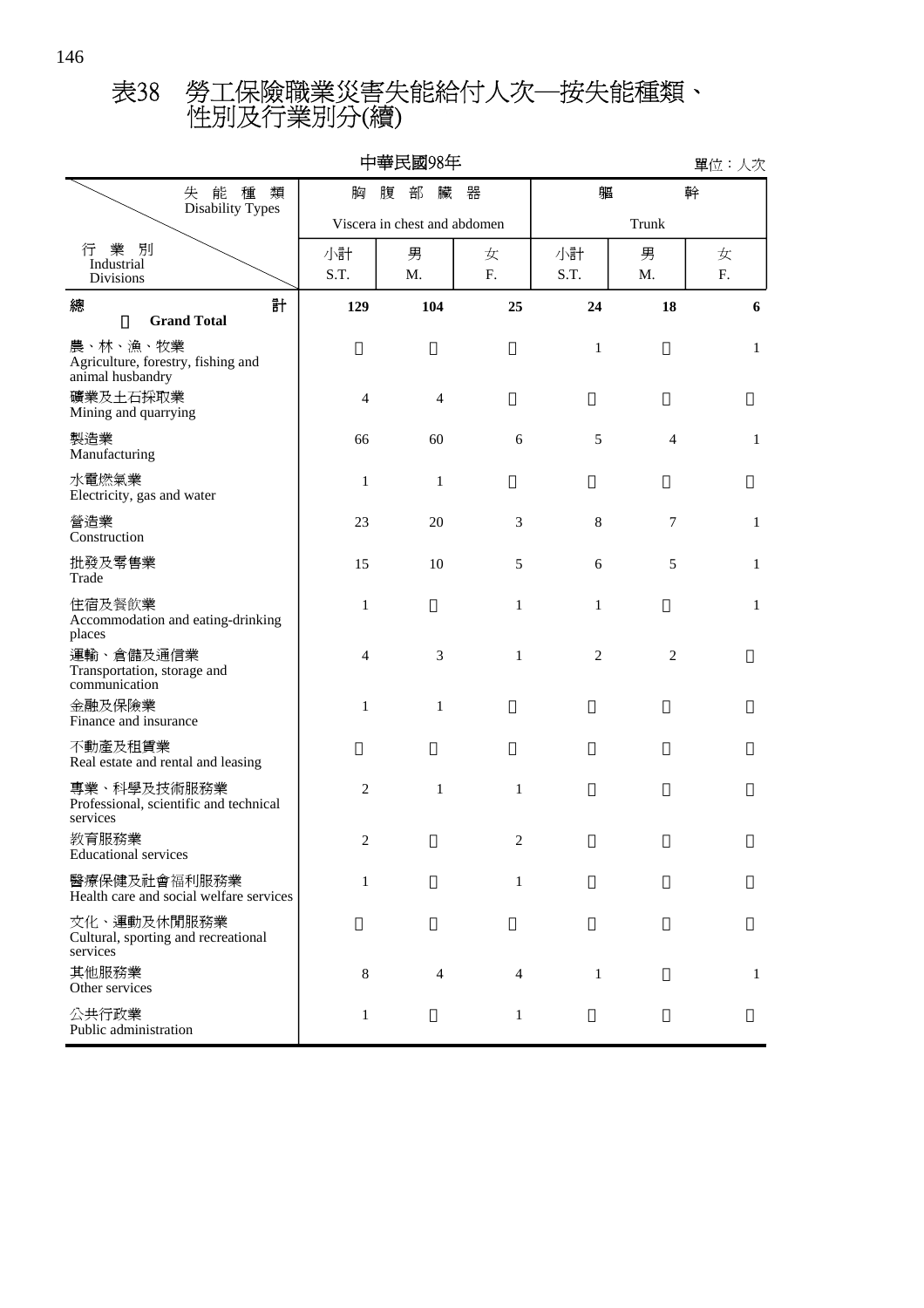## 性別及行業別分(續) 表38 勞工保險職業災害失能給付人次─按失能種類、

|                                                                                |                | 中華民國98年                      |              |                |                | 單位:人次           |  |  |
|--------------------------------------------------------------------------------|----------------|------------------------------|--------------|----------------|----------------|-----------------|--|--|
| 失能種<br>類<br><b>Disability Types</b>                                            | 胸              | 軀                            | 幹            |                |                |                 |  |  |
|                                                                                |                | Viscera in chest and abdomen |              | Trunk          |                |                 |  |  |
| 業 別<br>行<br>Industrial<br>Divisions                                            | 小計<br>S.T.     | 男<br>Μ.                      | 女<br>F.      | 小計<br>S.T.     | 男<br>M.        | 女<br>${\bf F}.$ |  |  |
| 計<br>總<br><b>Grand Total</b>                                                   | 129            | 104                          | 25           | 24             | 18             | 6               |  |  |
| 農、林、漁、牧業<br>Agriculture, forestry, fishing and<br>animal husbandry<br>礦業及土石採取業 | $\overline{4}$ | $\overline{4}$               |              | $\mathbf{1}$   |                | $\mathbf{1}$    |  |  |
| Mining and quarrying<br>製造業<br>Manufacturing                                   | 66             | 60                           | 6            | 5              | $\overline{4}$ | $\mathbf{1}$    |  |  |
| 水電燃氣業<br>Electricity, gas and water                                            | 1              | $\mathbf{1}$                 |              |                |                |                 |  |  |
| 營造業<br>Construction                                                            | 23             | 20                           | 3            | 8              | $\tau$         | $\mathbf{1}$    |  |  |
| 批發及零售業<br>Trade                                                                | 15             | 10                           | 5            | 6              | 5              | $\mathbf{1}$    |  |  |
| 住宿及餐飲業<br>Accommodation and eating-drinking<br>places                          | $\mathbf{1}$   |                              | $\mathbf{1}$ | $\mathbf{1}$   |                | $\mathbf{1}$    |  |  |
| 運輸、倉儲及通信業<br>Transportation, storage and<br>communication                      | $\overline{4}$ | 3                            | $\mathbf{1}$ | $\overline{2}$ | $\mathfrak{2}$ |                 |  |  |
| 金融及保險業<br>Finance and insurance                                                | $\mathbf{1}$   | $\mathbf{1}$                 |              |                |                |                 |  |  |
| 不動產及租賃業<br>Real estate and rental and leasing                                  |                |                              |              |                |                |                 |  |  |
| 專業、科學及技術服務業<br>Professional, scientific and technical<br>services              | $\mathfrak{2}$ | $\mathbf{1}$                 | $\mathbf{1}$ |                |                |                 |  |  |
| 教育服務業<br><b>Educational services</b>                                           | $\overline{2}$ |                              | 2            |                |                |                 |  |  |
| 醫療保健及社會福利服務業<br>Health care and social welfare services                        | $\mathbf{1}$   |                              | 1            |                |                |                 |  |  |
| 文化、運動及休閒服務業<br>Cultural, sporting and recreational<br>services                 |                |                              |              |                |                |                 |  |  |
| 其他服務業<br>Other services                                                        | 8              | 4                            | 4            | $\mathbf{1}$   |                | 1               |  |  |
| 公共行政業<br>Public administration                                                 | $\mathbf{1}$   |                              | $\mathbf{1}$ |                |                |                 |  |  |